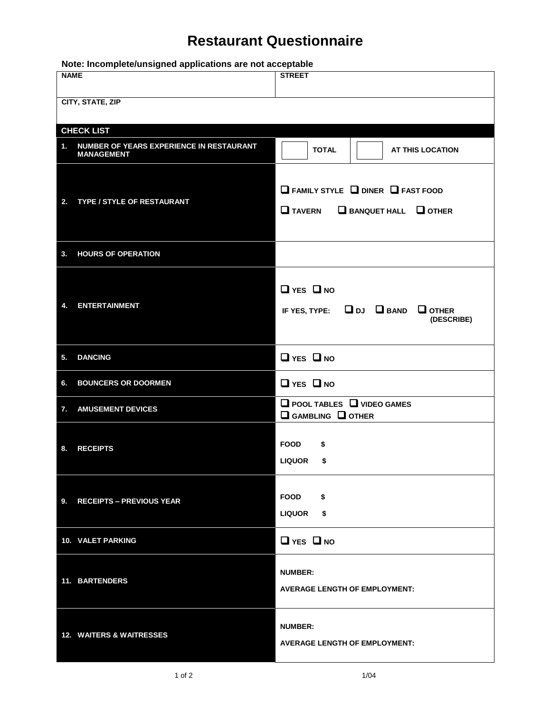## **Restaurant Questionnaire**

| Note: Incomplete/unsigned applications are not acceptable |                                                               |                                                                                                        |  |  |  |  |
|-----------------------------------------------------------|---------------------------------------------------------------|--------------------------------------------------------------------------------------------------------|--|--|--|--|
| <b>NAME</b>                                               |                                                               | <b>STREET</b>                                                                                          |  |  |  |  |
|                                                           | <b>CITY, STATE, ZIP</b>                                       |                                                                                                        |  |  |  |  |
|                                                           | <b>CHECK LIST</b>                                             |                                                                                                        |  |  |  |  |
| 1.                                                        | NUMBER OF YEARS EXPERIENCE IN RESTAURANT<br><b>MANAGEMENT</b> | <b>TOTAL</b><br><b>AT THIS LOCATION</b>                                                                |  |  |  |  |
| 2.                                                        | TYPE / STYLE OF RESTAURANT                                    | $\Box$ FAMILY STYLE $\Box$ DINER $\Box$ FAST FOOD<br>$\Box$ TAVERN<br>$\Box$ BANQUET HALL $\Box$ OTHER |  |  |  |  |
| 3.                                                        | <b>HOURS OF OPERATION</b>                                     |                                                                                                        |  |  |  |  |
| 4.                                                        | <b>ENTERTAINMENT</b>                                          | $\Box$ YES $\Box$ NO<br>IF YES, TYPE: $\Box$ DJ $\Box$ BAND<br>$\Box$ OTHER<br>(DESCRIBE)              |  |  |  |  |
| 5.                                                        | <b>DANCING</b>                                                | $\Box$ YES $\Box$ NO                                                                                   |  |  |  |  |
| 6.                                                        | <b>BOUNCERS OR DOORMEN</b>                                    | $\Box$ YES $\Box$ NO                                                                                   |  |  |  |  |
| 7.                                                        | <b>AMUSEMENT DEVICES</b>                                      | $\Box$ POOL TABLES $\Box$ VIDEO GAMES<br>$\Box$ GAMBLING $\Box$ OTHER                                  |  |  |  |  |
| 8.                                                        | <b>RECEIPTS</b>                                               | <b>FOOD</b><br>\$<br><b>LIQUOR</b><br>\$                                                               |  |  |  |  |
| 9.                                                        | <b>RECEIPTS - PREVIOUS YEAR</b>                               | <b>FOOD</b><br>\$<br><b>LIQUOR</b><br>\$                                                               |  |  |  |  |
|                                                           | 10. VALET PARKING                                             | $\Box$ YES $\Box$ NO                                                                                   |  |  |  |  |
|                                                           | 11. BARTENDERS                                                | <b>NUMBER:</b><br><b>AVERAGE LENGTH OF EMPLOYMENT:</b>                                                 |  |  |  |  |
|                                                           | <b>12. WAITERS &amp; WAITRESSES</b>                           | <b>NUMBER:</b><br><b>AVERAGE LENGTH OF EMPLOYMENT:</b>                                                 |  |  |  |  |